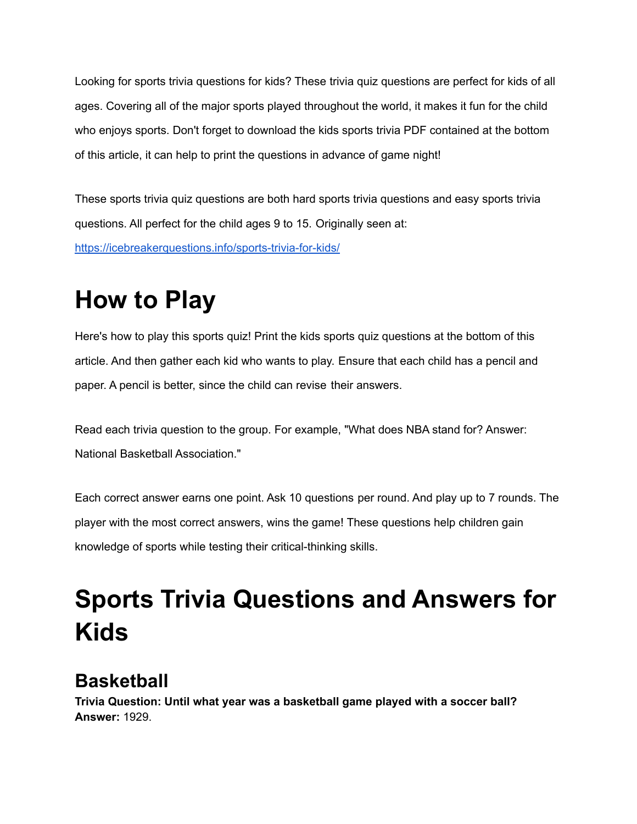Looking for sports trivia questions for kids? These trivia quiz questions are perfect for kids of all ages. Covering all of the major sports played throughout the world, it makes it fun for the child who enjoys sports. Don't forget to download the kids sports trivia PDF contained at the bottom of this article, it can help to print the questions in advance of game night!

These sports trivia quiz questions are both hard sports trivia questions and easy sports trivia questions. All perfect for the child ages 9 to 15. Originally seen at:

<https://icebreakerquestions.info/sports-trivia-for-kids/>

# **How to Play**

Here's how to play this sports quiz! Print the kids sports quiz questions at the bottom of this article. And then gather each kid who wants to play. Ensure that each child has a pencil and paper. A pencil is better, since the child can revise their answers.

Read each trivia question to the group. For example, "What does NBA stand for? Answer: National Basketball Association."

Each correct answer earns one point. Ask 10 questions per round. And play up to 7 rounds. The player with the most correct answers, wins the game! These questions help children gain knowledge of sports while testing their critical-thinking skills.

# **Sports Trivia Questions and Answers for Kids**

# **Basketball**

**Trivia Question: Until what year was a basketball game played with a soccer ball? Answer:** 1929.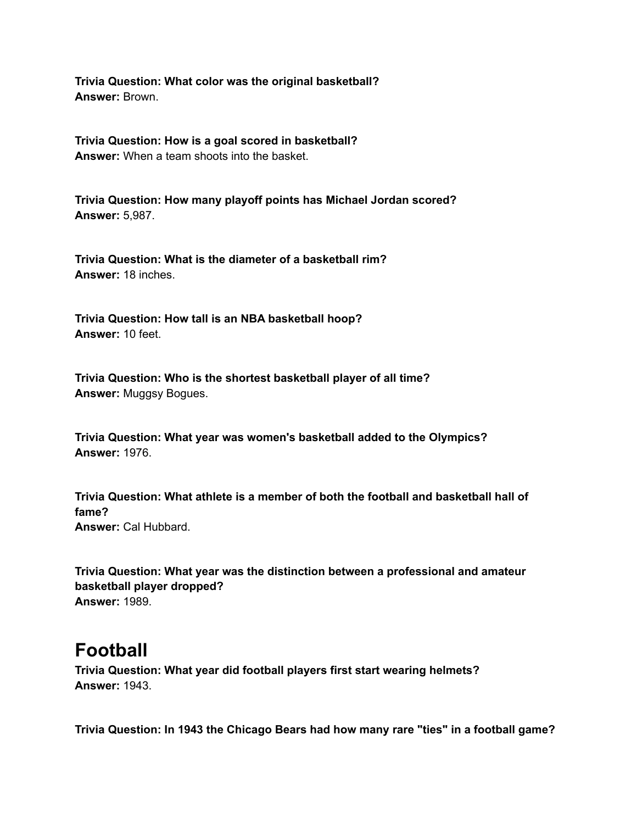**Trivia Question: What color was the original basketball? Answer:** Brown.

**Trivia Question: How is a goal scored in basketball? Answer:** When a team shoots into the basket.

**Trivia Question: How many playoff points has Michael Jordan scored? Answer:** 5,987.

**Trivia Question: What is the diameter of a basketball rim? Answer:** 18 inches.

**Trivia Question: How tall is an NBA basketball hoop? Answer:** 10 feet.

**Trivia Question: Who is the shortest basketball player of all time? Answer:** Muggsy Bogues.

**Trivia Question: What year was women's basketball added to the Olympics? Answer:** 1976.

**Trivia Question: What athlete is a member of both the football and basketball hall of fame? Answer:** Cal Hubbard.

**Trivia Question: What year was the distinction between a professional and amateur basketball player dropped? Answer:** 1989.

### **Football**

**Trivia Question: What year did football players first start wearing helmets? Answer:** 1943.

**Trivia Question: In 1943 the Chicago Bears had how many rare "ties" in a football game?**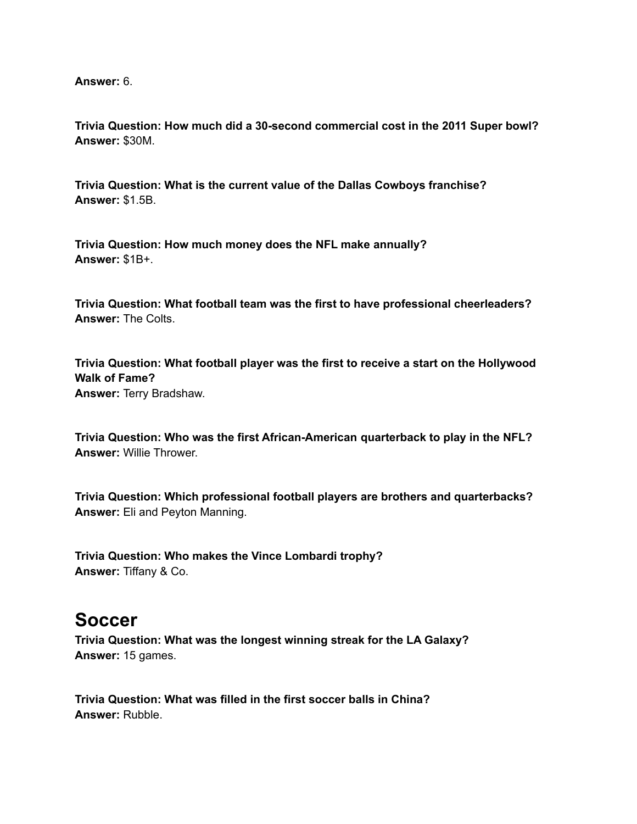**Answer:** 6.

**Trivia Question: How much did a 30-second commercial cost in the 2011 Super bowl? Answer:** \$30M.

**Trivia Question: What is the current value of the Dallas Cowboys franchise? Answer:** \$1.5B.

**Trivia Question: How much money does the NFL make annually? Answer:** \$1B+.

**Trivia Question: What football team was the first to have professional cheerleaders? Answer:** The Colts.

**Trivia Question: What football player was the first to receive a start on the Hollywood Walk of Fame? Answer:** Terry Bradshaw.

**Trivia Question: Who was the first African-American quarterback to play in the NFL? Answer:** Willie Thrower.

**Trivia Question: Which professional football players are brothers and quarterbacks? Answer:** Eli and Peyton Manning.

**Trivia Question: Who makes the Vince Lombardi trophy? Answer:** Tiffany & Co.

#### **Soccer**

**Trivia Question: What was the longest winning streak for the LA Galaxy? Answer:** 15 games.

**Trivia Question: What was filled in the first soccer balls in China? Answer:** Rubble.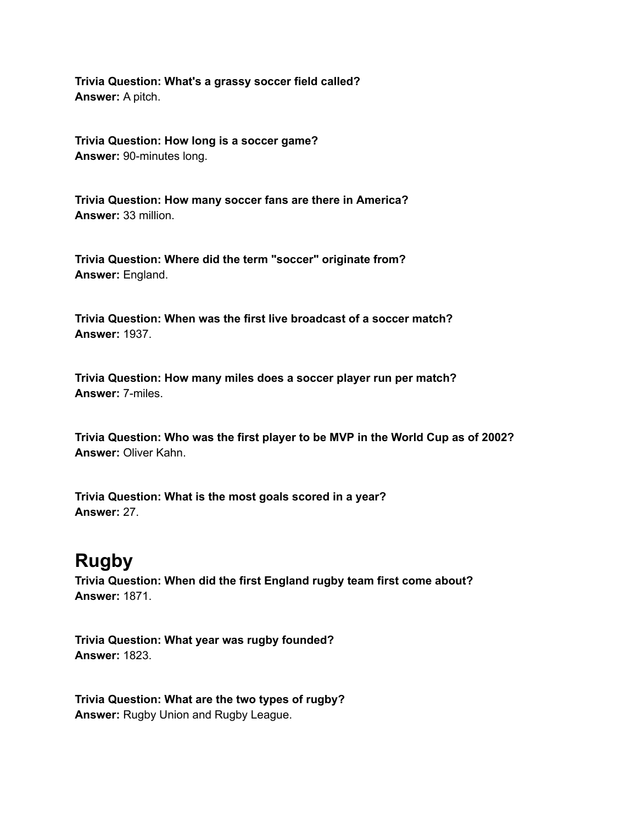**Trivia Question: What's a grassy soccer field called? Answer:** A pitch.

**Trivia Question: How long is a soccer game? Answer:** 90-minutes long.

**Trivia Question: How many soccer fans are there in America? Answer:** 33 million.

**Trivia Question: Where did the term "soccer" originate from? Answer:** England.

**Trivia Question: When was the first live broadcast of a soccer match? Answer:** 1937.

**Trivia Question: How many miles does a soccer player run per match? Answer:** 7-miles.

**Trivia Question: Who was the first player to be MVP in the World Cup as of 2002? Answer:** Oliver Kahn.

**Trivia Question: What is the most goals scored in a year? Answer:** 27.

## **Rugby**

**Trivia Question: When did the first England rugby team first come about? Answer:** 1871.

**Trivia Question: What year was rugby founded? Answer:** 1823.

**Trivia Question: What are the two types of rugby? Answer:** Rugby Union and Rugby League.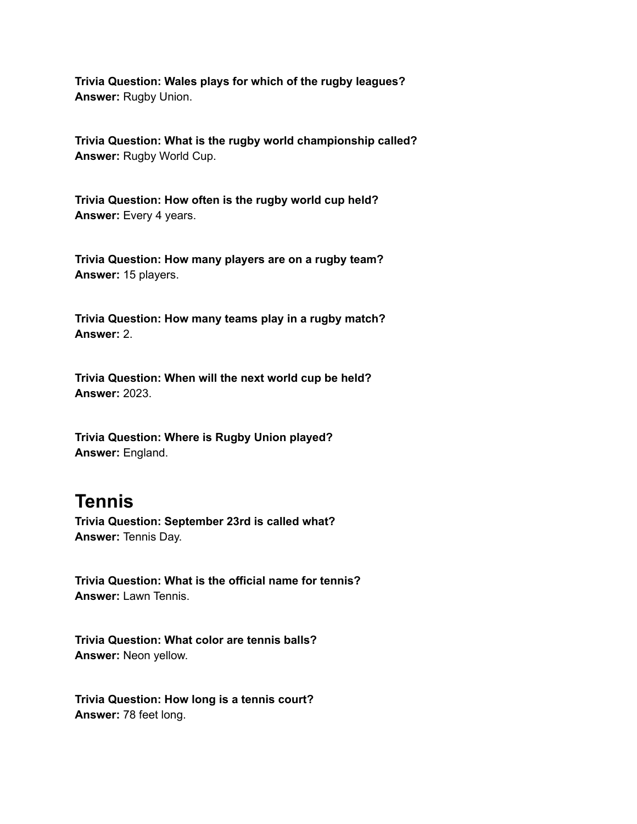**Trivia Question: Wales plays for which of the rugby leagues? Answer:** Rugby Union.

**Trivia Question: What is the rugby world championship called? Answer:** Rugby World Cup.

**Trivia Question: How often is the rugby world cup held? Answer:** Every 4 years.

**Trivia Question: How many players are on a rugby team? Answer:** 15 players.

**Trivia Question: How many teams play in a rugby match? Answer:** 2.

**Trivia Question: When will the next world cup be held? Answer:** 2023.

**Trivia Question: Where is Rugby Union played? Answer:** England.

## **Tennis**

**Trivia Question: September 23rd is called what? Answer:** Tennis Day.

**Trivia Question: What is the official name for tennis? Answer:** Lawn Tennis.

**Trivia Question: What color are tennis balls? Answer:** Neon yellow.

**Trivia Question: How long is a tennis court? Answer:** 78 feet long.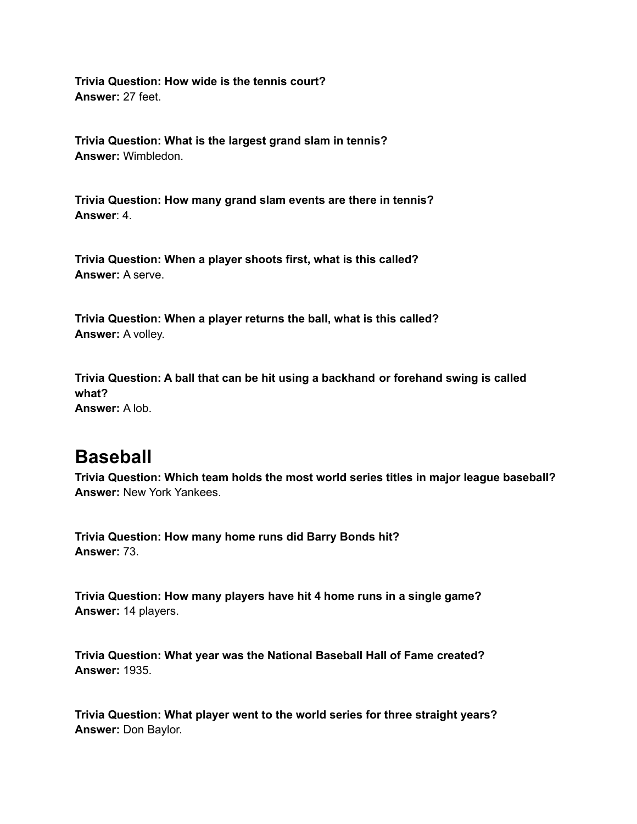**Trivia Question: How wide is the tennis court? Answer:** 27 feet.

**Trivia Question: What is the largest grand slam in tennis? Answer:** Wimbledon.

**Trivia Question: How many grand slam events are there in tennis? Answer**: 4.

**Trivia Question: When a player shoots first, what is this called? Answer:** A serve.

**Trivia Question: When a player returns the ball, what is this called? Answer:** A volley.

**Trivia Question: A ball that can be hit using a backhand or forehand swing is called what? Answer:** A lob.

### **Baseball**

**Trivia Question: Which team holds the most world series titles in major league baseball? Answer:** New York Yankees.

**Trivia Question: How many home runs did Barry Bonds hit? Answer:** 73.

**Trivia Question: How many players have hit 4 home runs in a single game? Answer:** 14 players.

**Trivia Question: What year was the National Baseball Hall of Fame created? Answer:** 1935.

**Trivia Question: What player went to the world series for three straight years? Answer:** Don Baylor.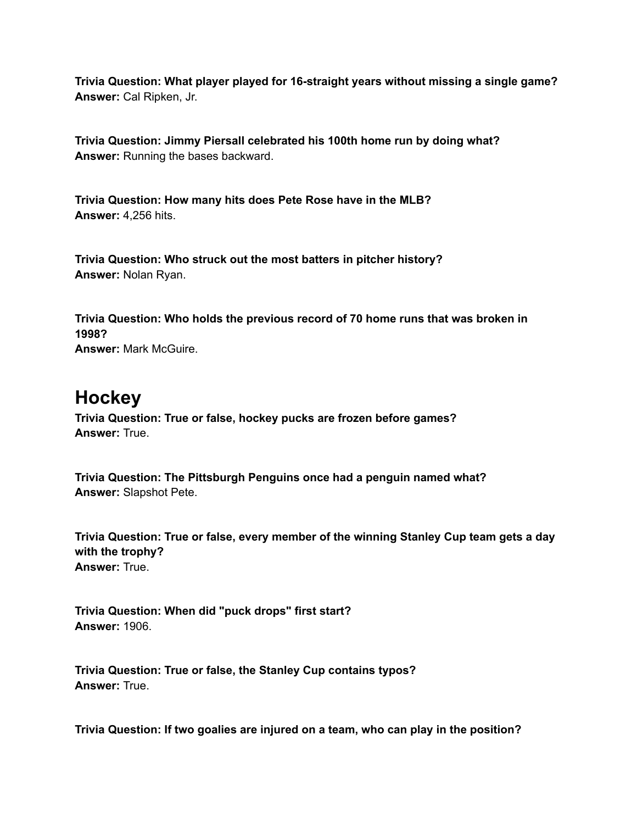**Trivia Question: What player played for 16-straight years without missing a single game? Answer:** Cal Ripken, Jr.

**Trivia Question: Jimmy Piersall celebrated his 100th home run by doing what? Answer:** Running the bases backward.

**Trivia Question: How many hits does Pete Rose have in the MLB? Answer:** 4,256 hits.

**Trivia Question: Who struck out the most batters in pitcher history? Answer:** Nolan Ryan.

**Trivia Question: Who holds the previous record of 70 home runs that was broken in 1998?**

**Answer:** Mark McGuire.

## **Hockey**

**Trivia Question: True or false, hockey pucks are frozen before games? Answer:** True.

**Trivia Question: The Pittsburgh Penguins once had a penguin named what? Answer:** Slapshot Pete.

**Trivia Question: True or false, every member of the winning Stanley Cup team gets a day with the trophy? Answer:** True.

**Trivia Question: When did "puck drops" first start? Answer:** 1906.

**Trivia Question: True or false, the Stanley Cup contains typos? Answer:** True.

**Trivia Question: If two goalies are injured on a team, who can play in the position?**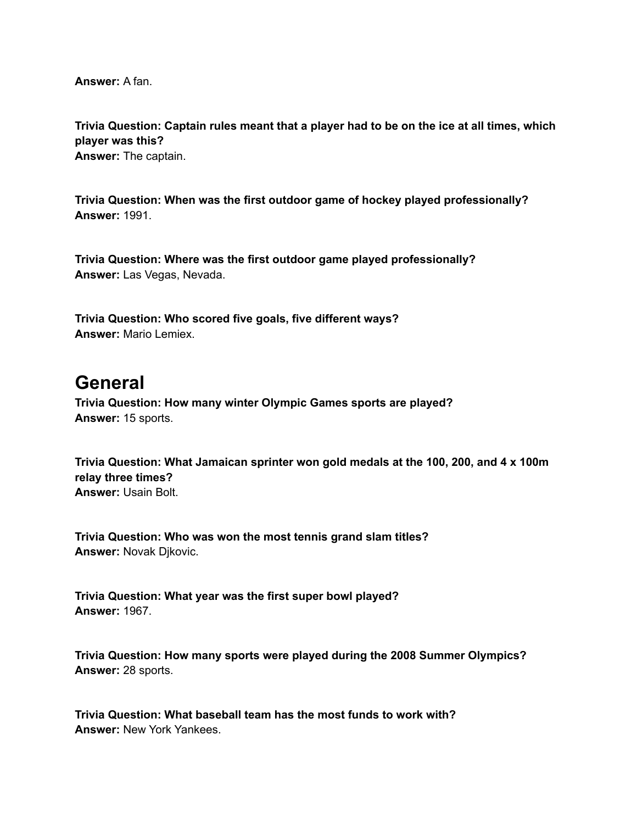**Answer:** A fan.

**Trivia Question: Captain rules meant that a player had to be on the ice at all times, which player was this? Answer:** The captain.

**Trivia Question: When was the first outdoor game of hockey played professionally? Answer:** 1991.

**Trivia Question: Where was the first outdoor game played professionally? Answer:** Las Vegas, Nevada.

**Trivia Question: Who scored five goals, five different ways? Answer:** Mario Lemiex.

## **General**

**Trivia Question: How many winter Olympic Games sports are played? Answer:** 15 sports.

**Trivia Question: What Jamaican sprinter won gold medals at the 100, 200, and 4 x 100m relay three times? Answer:** Usain Bolt.

**Trivia Question: Who was won the most tennis grand slam titles? Answer:** Novak Djkovic.

**Trivia Question: What year was the first super bowl played? Answer:** 1967.

**Trivia Question: How many sports were played during the 2008 Summer Olympics? Answer:** 28 sports.

**Trivia Question: What baseball team has the most funds to work with? Answer:** New York Yankees.